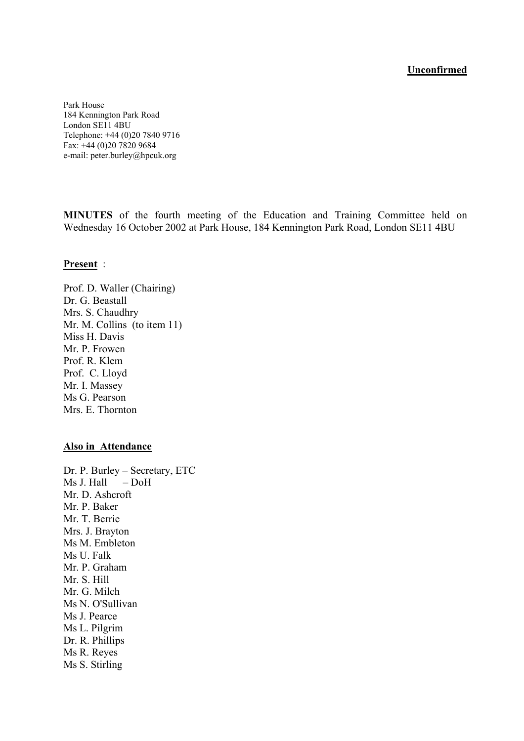#### **Unconfirmed**

Park House 184 Kennington Park Road London SE11 4BU Telephone: +44 (0)20 7840 9716 Fax: +44 (0)20 7820 9684 e-mail: peter.burley@hpcuk.org

**MINUTES** of the fourth meeting of the Education and Training Committee held on Wednesday 16 October 2002 at Park House, 184 Kennington Park Road, London SE11 4BU

#### **Present** :

Prof. D. Waller (Chairing) Dr. G. Beastall Mrs. S. Chaudhry Mr. M. Collins (to item 11) Miss H. Davis Mr. P. Frowen Prof. R. Klem Prof. C. Lloyd Mr. I. Massey Ms G. Pearson Mrs. E. Thornton

#### **Also in Attendance**

Dr. P. Burley – Secretary, ETC Ms J. Hall – DoH Mr. D. Ashcroft Mr. P. Baker Mr. T. Berrie Mrs. J. Brayton Ms M. Embleton Ms U. Falk Mr. P. Graham Mr. S. Hill Mr. G. Milch Ms N. O'Sullivan Ms J. Pearce Ms L. Pilgrim Dr. R. Phillips Ms R. Reyes Ms S. Stirling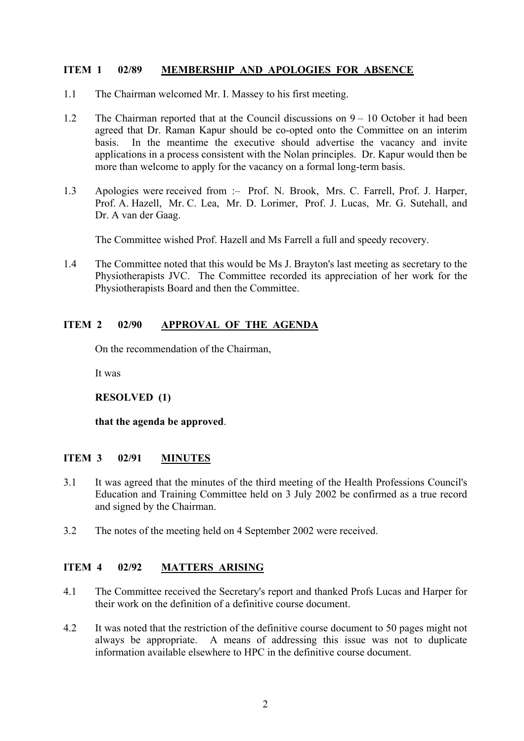# **ITEM 1 02/89 MEMBERSHIP AND APOLOGIES FOR ABSENCE**

- 1.1 The Chairman welcomed Mr. I. Massey to his first meeting.
- 1.2 The Chairman reported that at the Council discussions on 9 10 October it had been agreed that Dr. Raman Kapur should be co-opted onto the Committee on an interim basis. In the meantime the executive should advertise the vacancy and invite applications in a process consistent with the Nolan principles. Dr. Kapur would then be more than welcome to apply for the vacancy on a formal long-term basis.
- 1.3 Apologies were received from :– Prof. N. Brook, Mrs. C. Farrell, Prof. J. Harper, Prof. A. Hazell, Mr. C. Lea, Mr. D. Lorimer, Prof. J. Lucas, Mr. G. Sutehall, and Dr. A van der Gaag.

The Committee wished Prof. Hazell and Ms Farrell a full and speedy recovery.

1.4 The Committee noted that this would be Ms J. Brayton's last meeting as secretary to the Physiotherapists JVC. The Committee recorded its appreciation of her work for the Physiotherapists Board and then the Committee.

# **ITEM 2 02/90 APPROVAL OF THE AGENDA**

On the recommendation of the Chairman,

It was

**RESOLVED (1)** 

**that the agenda be approved**.

# **ITEM 3 02/91 MINUTES**

- 3.1 It was agreed that the minutes of the third meeting of the Health Professions Council's Education and Training Committee held on 3 July 2002 be confirmed as a true record and signed by the Chairman.
- 3.2 The notes of the meeting held on 4 September 2002 were received.

# **ITEM 4 02/92 MATTERS ARISING**

- 4.1 The Committee received the Secretary's report and thanked Profs Lucas and Harper for their work on the definition of a definitive course document.
- 4.2 It was noted that the restriction of the definitive course document to 50 pages might not always be appropriate. A means of addressing this issue was not to duplicate information available elsewhere to HPC in the definitive course document.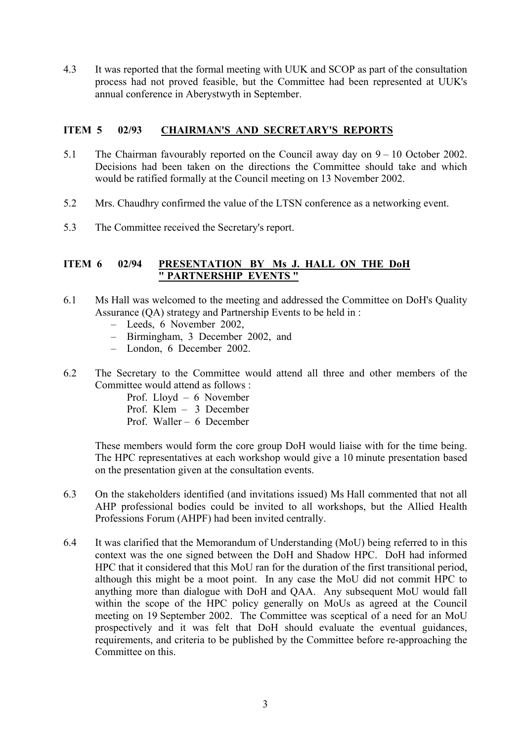4.3 It was reported that the formal meeting with UUK and SCOP as part of the consultation process had not proved feasible, but the Committee had been represented at UUK's annual conference in Aberystwyth in September.

## **ITEM 5 02/93 CHAIRMAN'S AND SECRETARY'S REPORTS**

- 5.1 The Chairman favourably reported on the Council away day on 9 10 October 2002. Decisions had been taken on the directions the Committee should take and which would be ratified formally at the Council meeting on 13 November 2002.
- 5.2 Mrs. Chaudhry confirmed the value of the LTSN conference as a networking event.
- 5.3 The Committee received the Secretary's report.

## **ITEM 6 02/94 PRESENTATION BY Ms J. HALL ON THE DoH " PARTNERSHIP EVENTS "**

- 6.1 Ms Hall was welcomed to the meeting and addressed the Committee on DoH's Quality Assurance (QA) strategy and Partnership Events to be held in :
	- Leeds, 6 November 2002,
	- Birmingham, 3 December 2002, and
	- London, 6 December 2002.
- 6.2 The Secretary to the Committee would attend all three and other members of the Committee would attend as follows :
	- Prof. Lloyd 6 November Prof. Klem – 3 December
	- Prof. Waller 6 December

These members would form the core group DoH would liaise with for the time being. The HPC representatives at each workshop would give a 10 minute presentation based on the presentation given at the consultation events.

- 6.3 On the stakeholders identified (and invitations issued) Ms Hall commented that not all AHP professional bodies could be invited to all workshops, but the Allied Health Professions Forum (AHPF) had been invited centrally.
- 6.4 It was clarified that the Memorandum of Understanding (MoU) being referred to in this context was the one signed between the DoH and Shadow HPC. DoH had informed HPC that it considered that this MoU ran for the duration of the first transitional period, although this might be a moot point. In any case the MoU did not commit HPC to anything more than dialogue with DoH and QAA. Any subsequent MoU would fall within the scope of the HPC policy generally on MoUs as agreed at the Council meeting on 19 September 2002. The Committee was sceptical of a need for an MoU prospectively and it was felt that DoH should evaluate the eventual guidances, requirements, and criteria to be published by the Committee before re-approaching the Committee on this.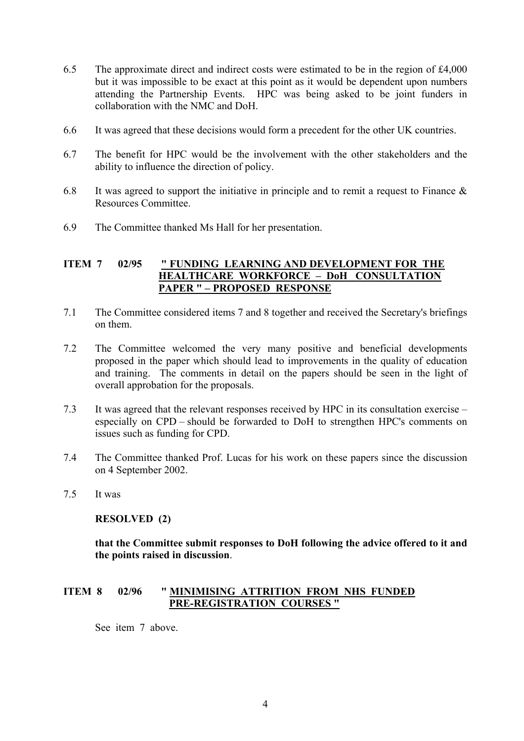- 6.5 The approximate direct and indirect costs were estimated to be in the region of £4,000 but it was impossible to be exact at this point as it would be dependent upon numbers attending the Partnership Events. HPC was being asked to be joint funders in collaboration with the NMC and DoH.
- 6.6 It was agreed that these decisions would form a precedent for the other UK countries.
- 6.7 The benefit for HPC would be the involvement with the other stakeholders and the ability to influence the direction of policy.
- 6.8 It was agreed to support the initiative in principle and to remit a request to Finance  $\&$ Resources Committee.
- 6.9 The Committee thanked Ms Hall for her presentation.

## **ITEM 7 02/95 " FUNDING LEARNING AND DEVELOPMENT FOR THE HEALTHCARE WORKFORCE – DoH CONSULTATION PAPER " – PROPOSED RESPONSE**

- 7.1 The Committee considered items 7 and 8 together and received the Secretary's briefings on them.
- 7.2 The Committee welcomed the very many positive and beneficial developments proposed in the paper which should lead to improvements in the quality of education and training. The comments in detail on the papers should be seen in the light of overall approbation for the proposals.
- 7.3 It was agreed that the relevant responses received by HPC in its consultation exercise especially on CPD – should be forwarded to DoH to strengthen HPC's comments on issues such as funding for CPD.
- 7.4 The Committee thanked Prof. Lucas for his work on these papers since the discussion on 4 September 2002.
- 7.5 It was

# **RESOLVED (2)**

**that the Committee submit responses to DoH following the advice offered to it and the points raised in discussion**.

## **ITEM 8 02/96 " MINIMISING ATTRITION FROM NHS FUNDED PRE-REGISTRATION COURSES "**

See item 7 above.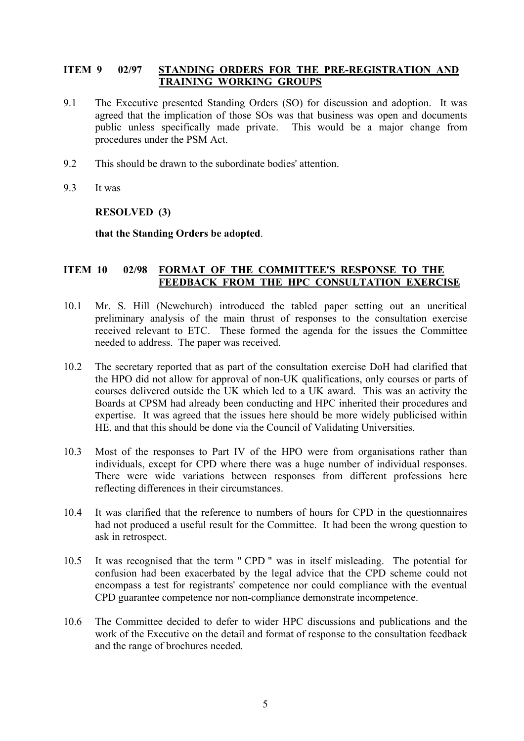## **ITEM 9 02/97 STANDING ORDERS FOR THE PRE-REGISTRATION AND TRAINING WORKING GROUPS**

- 9.1 The Executive presented Standing Orders (SO) for discussion and adoption. It was agreed that the implication of those SOs was that business was open and documents public unless specifically made private. This would be a major change from procedures under the PSM Act.
- 9.2 This should be drawn to the subordinate bodies' attention.
- 9.3 It was

#### **RESOLVED (3)**

#### **that the Standing Orders be adopted**.

## **ITEM 10 02/98 FORMAT OF THE COMMITTEE'S RESPONSE TO THE FEEDBACK FROM THE HPC CONSULTATION EXERCISE**

- 10.1 Mr. S. Hill (Newchurch) introduced the tabled paper setting out an uncritical preliminary analysis of the main thrust of responses to the consultation exercise received relevant to ETC. These formed the agenda for the issues the Committee needed to address. The paper was received.
- 10.2 The secretary reported that as part of the consultation exercise DoH had clarified that the HPO did not allow for approval of non-UK qualifications, only courses or parts of courses delivered outside the UK which led to a UK award. This was an activity the Boards at CPSM had already been conducting and HPC inherited their procedures and expertise. It was agreed that the issues here should be more widely publicised within HE, and that this should be done via the Council of Validating Universities.
- 10.3 Most of the responses to Part IV of the HPO were from organisations rather than individuals, except for CPD where there was a huge number of individual responses. There were wide variations between responses from different professions here reflecting differences in their circumstances.
- 10.4 It was clarified that the reference to numbers of hours for CPD in the questionnaires had not produced a useful result for the Committee. It had been the wrong question to ask in retrospect.
- 10.5 It was recognised that the term " CPD " was in itself misleading. The potential for confusion had been exacerbated by the legal advice that the CPD scheme could not encompass a test for registrants' competence nor could compliance with the eventual CPD guarantee competence nor non-compliance demonstrate incompetence.
- 10.6 The Committee decided to defer to wider HPC discussions and publications and the work of the Executive on the detail and format of response to the consultation feedback and the range of brochures needed.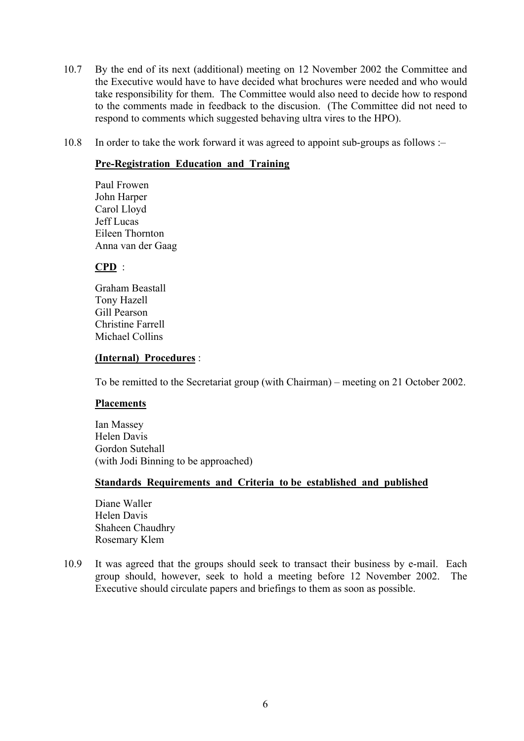- 10.7 By the end of its next (additional) meeting on 12 November 2002 the Committee and the Executive would have to have decided what brochures were needed and who would take responsibility for them. The Committee would also need to decide how to respond to the comments made in feedback to the discusion. (The Committee did not need to respond to comments which suggested behaving ultra vires to the HPO).
- 10.8 In order to take the work forward it was agreed to appoint sub-groups as follows :–

## **Pre-Registration Education and Training**

 Paul Frowen John Harper Carol Lloyd Jeff Lucas Eileen Thornton Anna van der Gaag

# **CPD** :

 Graham Beastall Tony Hazell Gill Pearson Christine Farrell Michael Collins

#### **(Internal) Procedures** :

To be remitted to the Secretariat group (with Chairman) – meeting on 21 October 2002.

#### **Placements**

 Ian Massey Helen Davis Gordon Sutehall (with Jodi Binning to be approached)

#### **Standards Requirements and Criteria to be established and published**

 Diane Waller Helen Davis Shaheen Chaudhry Rosemary Klem

10.9 It was agreed that the groups should seek to transact their business by e-mail. Each group should, however, seek to hold a meeting before 12 November 2002. The Executive should circulate papers and briefings to them as soon as possible.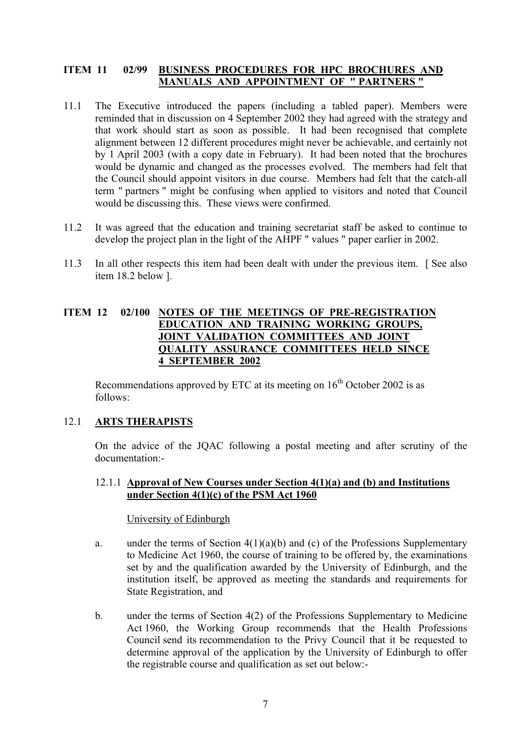## **ITEM 11 02/99 BUSINESS PROCEDURES FOR HPC BROCHURES AND MANUALS AND APPOINTMENT OF " PARTNERS "**

- 11.1 The Executive introduced the papers (including a tabled paper). Members were reminded that in discussion on 4 September 2002 they had agreed with the strategy and that work should start as soon as possible. It had been recognised that complete alignment between 12 different procedures might never be achievable, and certainly not by 1 April 2003 (with a copy date in February). It had been noted that the brochures would be dynamic and changed as the processes evolved. The members had felt that the Council should appoint visitors in due course. Members had felt that the catch-all term " partners " might be confusing when applied to visitors and noted that Council would be discussing this. These views were confirmed.
- 11.2 It was agreed that the education and training secretariat staff be asked to continue to develop the project plan in the light of the AHPF " values " paper earlier in 2002.
- 11.3 In all other respects this item had been dealt with under the previous item. [ See also item 18.2 below ].

## **ITEM 12 02/100 NOTES OF THE MEETINGS OF PRE-REGISTRATION EDUCATION AND TRAINING WORKING GROUPS, JOINT VALIDATION COMMITTEES AND JOINT QUALITY ASSURANCE COMMITTEES HELD SINCE 4 SEPTEMBER 2002**

Recommendations approved by ETC at its meeting on  $16<sup>th</sup>$  October 2002 is as follows:

# 12.1 **ARTS THERAPISTS**

On the advice of the JQAC following a postal meeting and after scrutiny of the documentation:-

12.1.1 **Approval of New Courses under Section 4(1)(a) and (b) and Institutions under Section 4(1)(c) of the PSM Act 1960**

#### University of Edinburgh

- a. under the terms of Section  $4(1)(a)(b)$  and (c) of the Professions Supplementary to Medicine Act 1960, the course of training to be offered by, the examinations set by and the qualification awarded by the University of Edinburgh, and the institution itself, be approved as meeting the standards and requirements for State Registration, and
- b. under the terms of Section 4(2) of the Professions Supplementary to Medicine Act 1960, the Working Group recommends that the Health Professions Council send its recommendation to the Privy Council that it be requested to determine approval of the application by the University of Edinburgh to offer the registrable course and qualification as set out below:-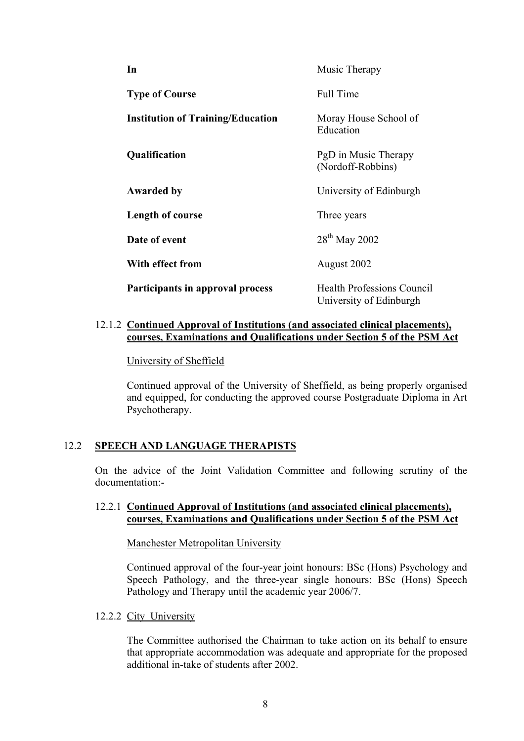| In                                       | Music Therapy                                                |
|------------------------------------------|--------------------------------------------------------------|
| <b>Type of Course</b>                    | <b>Full Time</b>                                             |
| <b>Institution of Training/Education</b> | Moray House School of<br>Education                           |
| Qualification                            | PgD in Music Therapy<br>(Nordoff-Robbins)                    |
| <b>Awarded by</b>                        | University of Edinburgh                                      |
| Length of course                         | Three years                                                  |
| Date of event                            | $28th$ May 2002                                              |
| With effect from                         | August 2002                                                  |
| Participants in approval process         | <b>Health Professions Council</b><br>University of Edinburgh |

## 12.1.2 **Continued Approval of Institutions (and associated clinical placements), courses, Examinations and Qualifications under Section 5 of the PSM Act**

University of Sheffield

Continued approval of the University of Sheffield, as being properly organised and equipped, for conducting the approved course Postgraduate Diploma in Art Psychotherapy.

# 12.2 **SPEECH AND LANGUAGE THERAPISTS**

On the advice of the Joint Validation Committee and following scrutiny of the documentation:-

## 12.2.1 **Continued Approval of Institutions (and associated clinical placements), courses, Examinations and Qualifications under Section 5 of the PSM Act**

#### Manchester Metropolitan University

Continued approval of the four-year joint honours: BSc (Hons) Psychology and Speech Pathology, and the three-year single honours: BSc (Hons) Speech Pathology and Therapy until the academic year 2006/7.

#### 12.2.2 City University

The Committee authorised the Chairman to take action on its behalf to ensure that appropriate accommodation was adequate and appropriate for the proposed additional in-take of students after 2002.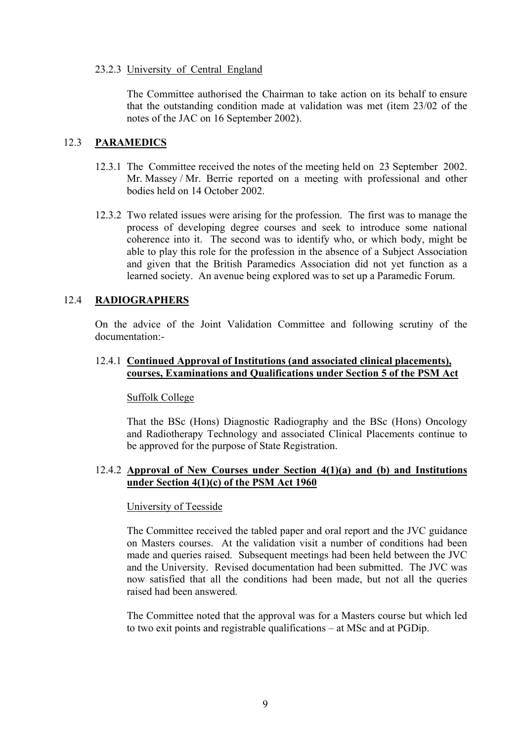#### 23.2.3 University of Central England

The Committee authorised the Chairman to take action on its behalf to ensure that the outstanding condition made at validation was met (item 23/02 of the notes of the JAC on 16 September 2002).

## 12.3 **PARAMEDICS**

- 12.3.1 The Committee received the notes of the meeting held on 23 September 2002. Mr. Massey / Mr. Berrie reported on a meeting with professional and other bodies held on 14 October 2002.
- 12.3.2 Two related issues were arising for the profession. The first was to manage the process of developing degree courses and seek to introduce some national coherence into it. The second was to identify who, or which body, might be able to play this role for the profession in the absence of a Subject Association and given that the British Paramedics Association did not yet function as a learned society. An avenue being explored was to set up a Paramedic Forum.

## 12.4 **RADIOGRAPHERS**

On the advice of the Joint Validation Committee and following scrutiny of the documentation:-

## 12.4.1 **Continued Approval of Institutions (and associated clinical placements), courses, Examinations and Qualifications under Section 5 of the PSM Act**

#### Suffolk College

That the BSc (Hons) Diagnostic Radiography and the BSc (Hons) Oncology and Radiotherapy Technology and associated Clinical Placements continue to be approved for the purpose of State Registration.

## 12.4.2 **Approval of New Courses under Section 4(1)(a) and (b) and Institutions under Section 4(1)(c) of the PSM Act 1960**

#### University of Teesside

The Committee received the tabled paper and oral report and the JVC guidance on Masters courses. At the validation visit a number of conditions had been made and queries raised. Subsequent meetings had been held between the JVC and the University. Revised documentation had been submitted. The JVC was now satisfied that all the conditions had been made, but not all the queries raised had been answered.

The Committee noted that the approval was for a Masters course but which led to two exit points and registrable qualifications – at MSc and at PGDip.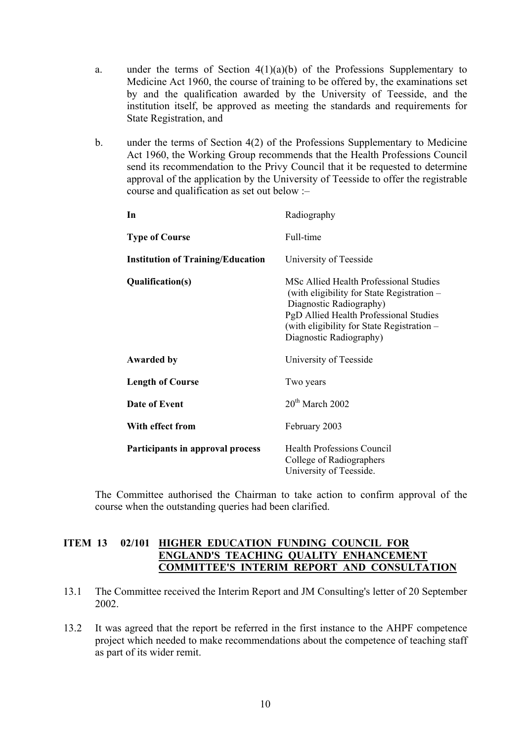- a. under the terms of Section  $4(1)(a)(b)$  of the Professions Supplementary to Medicine Act 1960, the course of training to be offered by, the examinations set by and the qualification awarded by the University of Teesside, and the institution itself, be approved as meeting the standards and requirements for State Registration, and
- b. under the terms of Section 4(2) of the Professions Supplementary to Medicine Act 1960, the Working Group recommends that the Health Professions Council send its recommendation to the Privy Council that it be requested to determine approval of the application by the University of Teesside to offer the registrable course and qualification as set out below :–

| Radiography                                                                                                                                                                                                                        |
|------------------------------------------------------------------------------------------------------------------------------------------------------------------------------------------------------------------------------------|
| Full-time                                                                                                                                                                                                                          |
| University of Teesside                                                                                                                                                                                                             |
| MSc Allied Health Professional Studies<br>(with eligibility for State Registration –<br>Diagnostic Radiography)<br>PgD Allied Health Professional Studies<br>(with eligibility for State Registration –<br>Diagnostic Radiography) |
| University of Teesside                                                                                                                                                                                                             |
| Two years                                                                                                                                                                                                                          |
| $20th$ March 2002                                                                                                                                                                                                                  |
| February 2003                                                                                                                                                                                                                      |
| <b>Health Professions Council</b><br>College of Radiographers<br>University of Teesside.                                                                                                                                           |
|                                                                                                                                                                                                                                    |

The Committee authorised the Chairman to take action to confirm approval of the course when the outstanding queries had been clarified.

## **ITEM 13 02/101 HIGHER EDUCATION FUNDING COUNCIL FOR ENGLAND'S TEACHING QUALITY ENHANCEMENT COMMITTEE'S INTERIM REPORT AND CONSULTATION**

- 13.1 The Committee received the Interim Report and JM Consulting's letter of 20 September 2002.
- 13.2 It was agreed that the report be referred in the first instance to the AHPF competence project which needed to make recommendations about the competence of teaching staff as part of its wider remit.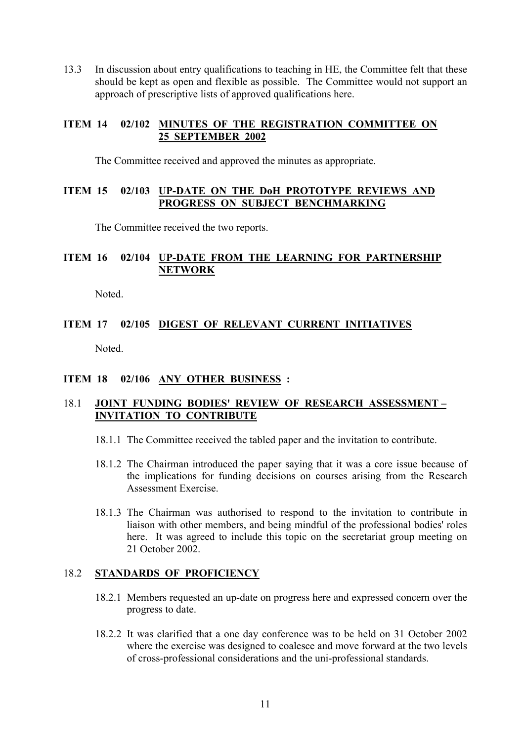13.3 In discussion about entry qualifications to teaching in HE, the Committee felt that these should be kept as open and flexible as possible. The Committee would not support an approach of prescriptive lists of approved qualifications here.

## **ITEM 14 02/102 MINUTES OF THE REGISTRATION COMMITTEE ON 25 SEPTEMBER 2002**

The Committee received and approved the minutes as appropriate.

## **ITEM 15 02/103 UP-DATE ON THE DoH PROTOTYPE REVIEWS AND PROGRESS ON SUBJECT BENCHMARKING**

The Committee received the two reports.

# **ITEM 16 02/104 UP-DATE FROM THE LEARNING FOR PARTNERSHIP NETWORK**

Noted.

# **ITEM 17 02/105 DIGEST OF RELEVANT CURRENT INITIATIVES** Noted.

# **ITEM 18 02/106 ANY OTHER BUSINESS :**

## 18.1 **JOINT FUNDING BODIES' REVIEW OF RESEARCH ASSESSMENT – INVITATION TO CONTRIBUTE**

- 18.1.1 The Committee received the tabled paper and the invitation to contribute.
- 18.1.2 The Chairman introduced the paper saying that it was a core issue because of the implications for funding decisions on courses arising from the Research Assessment Exercise.
- 18.1.3 The Chairman was authorised to respond to the invitation to contribute in liaison with other members, and being mindful of the professional bodies' roles here. It was agreed to include this topic on the secretariat group meeting on 21 October 2002.

#### 18.2 **STANDARDS OF PROFICIENCY**

- 18.2.1 Members requested an up-date on progress here and expressed concern over the progress to date.
- 18.2.2 It was clarified that a one day conference was to be held on 31 October 2002 where the exercise was designed to coalesce and move forward at the two levels of cross-professional considerations and the uni-professional standards.